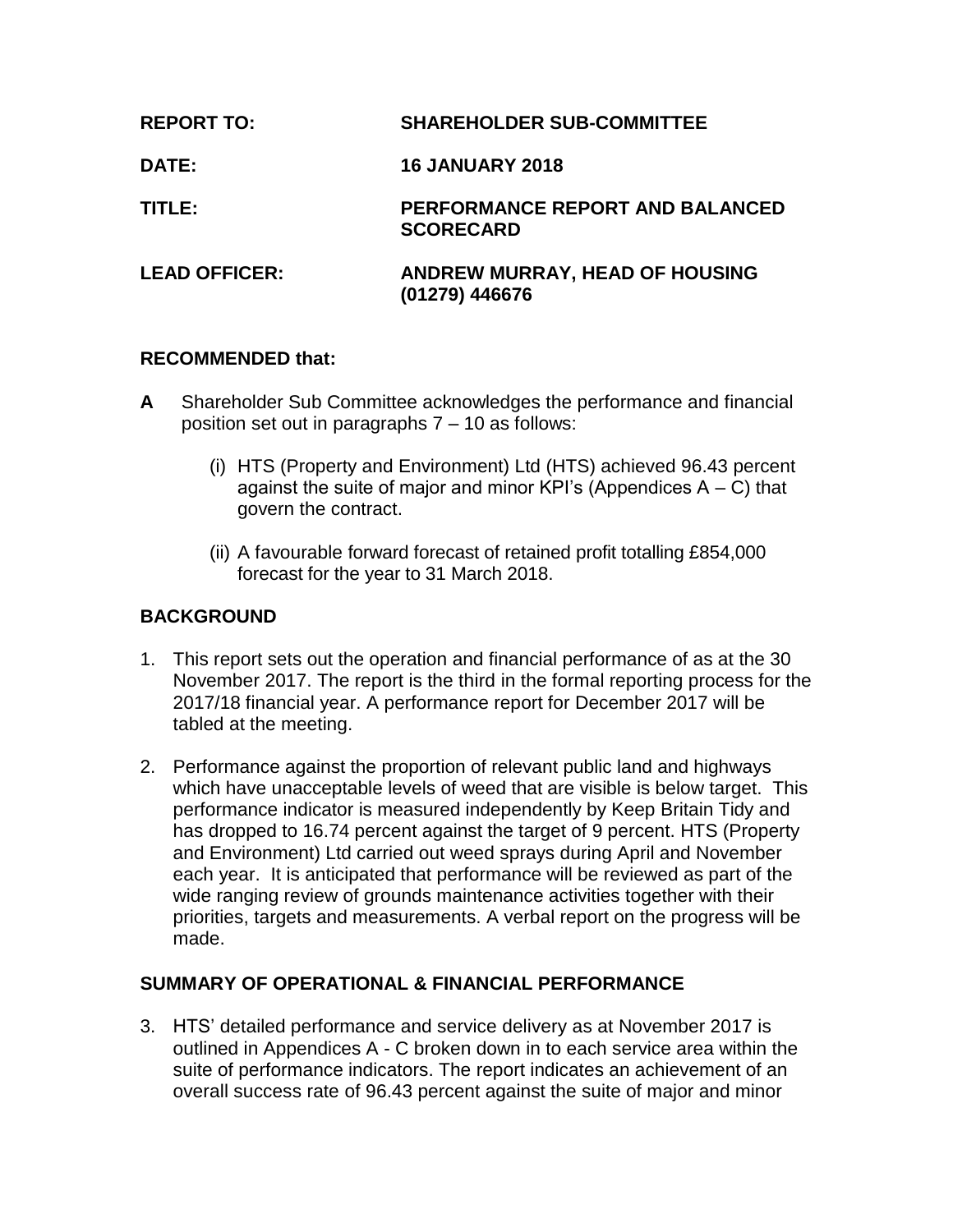| <b>REPORT TO:</b>    | <b>SHAREHOLDER SUB-COMMITTEE</b>                        |
|----------------------|---------------------------------------------------------|
| <b>DATE:</b>         | <b>16 JANUARY 2018</b>                                  |
| TITLE:               | PERFORMANCE REPORT AND BALANCED<br><b>SCORECARD</b>     |
| <b>LEAD OFFICER:</b> | <b>ANDREW MURRAY, HEAD OF HOUSING</b><br>(01279) 446676 |

#### **RECOMMENDED that:**

- **A** Shareholder Sub Committee acknowledges the performance and financial position set out in paragraphs  $7 - 10$  as follows:
	- (i) HTS (Property and Environment) Ltd (HTS) achieved 96.43 percent against the suite of major and minor KPI's (Appendices  $A - C$ ) that govern the contract.
	- (ii) A favourable forward forecast of retained profit totalling £854,000 forecast for the year to 31 March 2018.

# **BACKGROUND**

- 1. This report sets out the operation and financial performance of as at the 30 November 2017. The report is the third in the formal reporting process for the 2017/18 financial year. A performance report for December 2017 will be tabled at the meeting.
- 2. Performance against the proportion of relevant public land and highways which have unacceptable levels of weed that are visible is below target. This performance indicator is measured independently by Keep Britain Tidy and has dropped to 16.74 percent against the target of 9 percent. HTS (Property and Environment) Ltd carried out weed sprays during April and November each year. It is anticipated that performance will be reviewed as part of the wide ranging review of grounds maintenance activities together with their priorities, targets and measurements. A verbal report on the progress will be made.

#### **SUMMARY OF OPERATIONAL & FINANCIAL PERFORMANCE**

3. HTS' detailed performance and service delivery as at November 2017 is outlined in Appendices A - C broken down in to each service area within the suite of performance indicators. The report indicates an achievement of an overall success rate of 96.43 percent against the suite of major and minor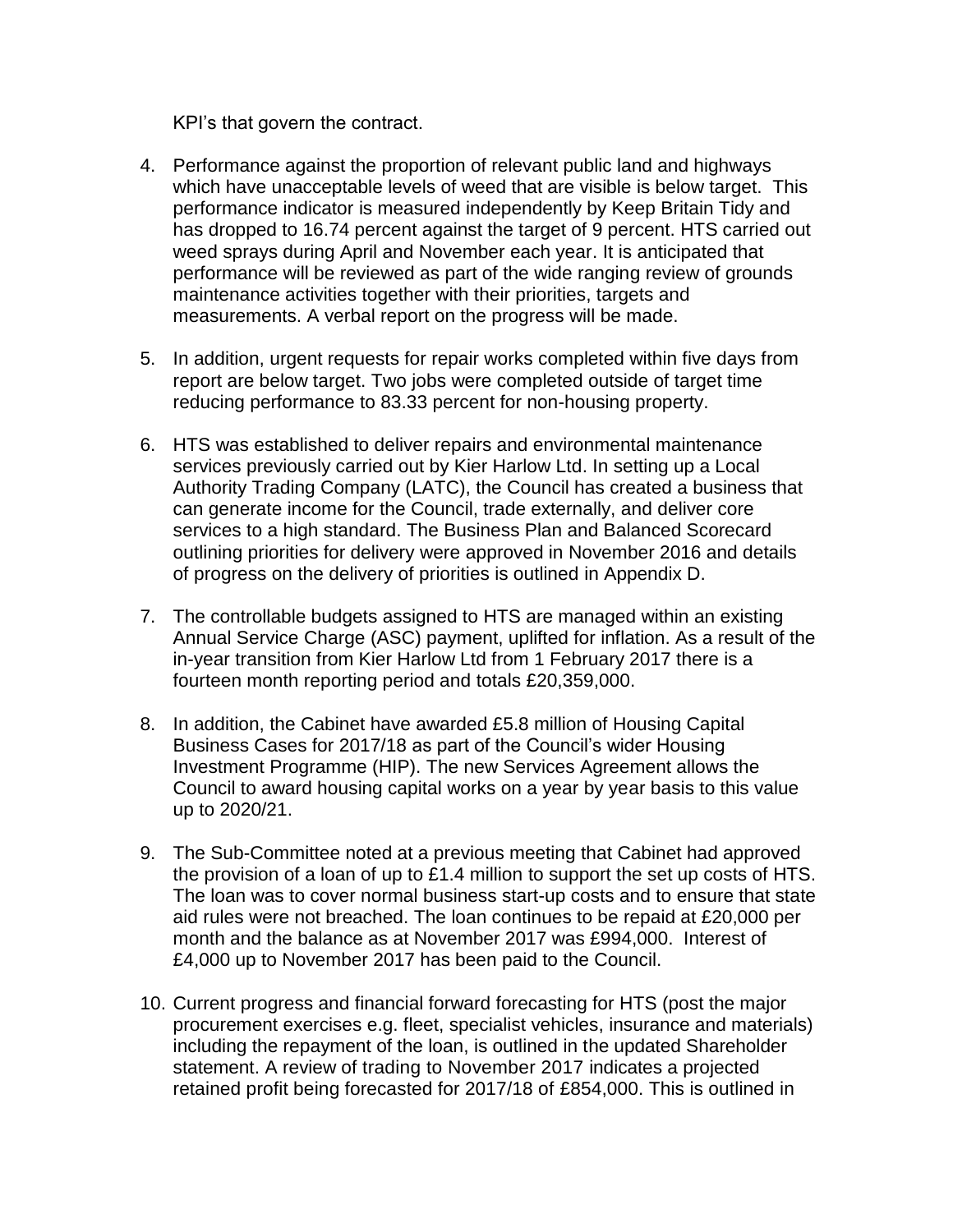KPI's that govern the contract.

- 4. Performance against the proportion of relevant public land and highways which have unacceptable levels of weed that are visible is below target. This performance indicator is measured independently by Keep Britain Tidy and has dropped to 16.74 percent against the target of 9 percent. HTS carried out weed sprays during April and November each year. It is anticipated that performance will be reviewed as part of the wide ranging review of grounds maintenance activities together with their priorities, targets and measurements. A verbal report on the progress will be made.
- 5. In addition, urgent requests for repair works completed within five days from report are below target. Two jobs were completed outside of target time reducing performance to 83.33 percent for non-housing property.
- 6. HTS was established to deliver repairs and environmental maintenance services previously carried out by Kier Harlow Ltd. In setting up a Local Authority Trading Company (LATC), the Council has created a business that can generate income for the Council, trade externally, and deliver core services to a high standard. The Business Plan and Balanced Scorecard outlining priorities for delivery were approved in November 2016 and details of progress on the delivery of priorities is outlined in Appendix D.
- 7. The controllable budgets assigned to HTS are managed within an existing Annual Service Charge (ASC) payment, uplifted for inflation. As a result of the in-year transition from Kier Harlow Ltd from 1 February 2017 there is a fourteen month reporting period and totals £20,359,000.
- 8. In addition, the Cabinet have awarded £5.8 million of Housing Capital Business Cases for 2017/18 as part of the Council's wider Housing Investment Programme (HIP). The new Services Agreement allows the Council to award housing capital works on a year by year basis to this value up to 2020/21.
- 9. The Sub-Committee noted at a previous meeting that Cabinet had approved the provision of a loan of up to £1.4 million to support the set up costs of HTS. The loan was to cover normal business start-up costs and to ensure that state aid rules were not breached. The loan continues to be repaid at £20,000 per month and the balance as at November 2017 was £994,000. Interest of £4,000 up to November 2017 has been paid to the Council.
- 10. Current progress and financial forward forecasting for HTS (post the major procurement exercises e.g. fleet, specialist vehicles, insurance and materials) including the repayment of the loan, is outlined in the updated Shareholder statement. A review of trading to November 2017 indicates a projected retained profit being forecasted for 2017/18 of £854,000. This is outlined in